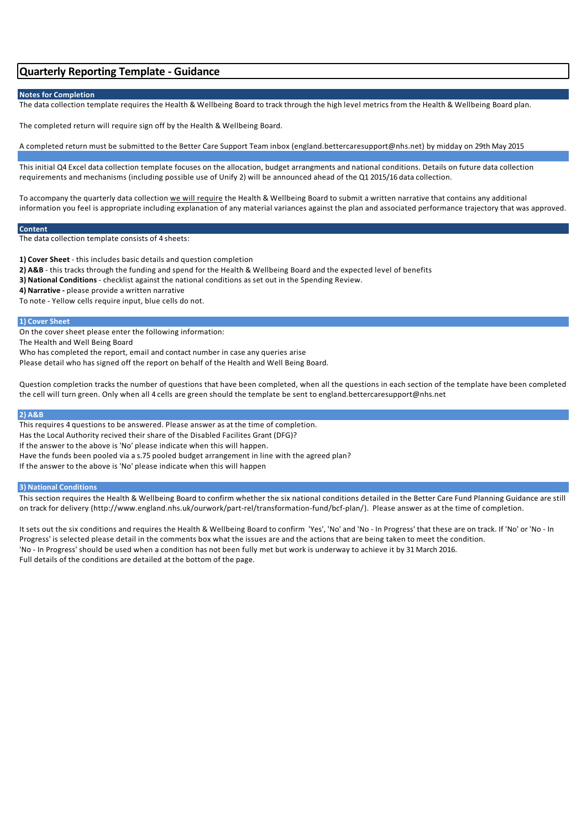# **Quarterly Reporting Template - Guidance**

# **Notes for Completion**

The data collection template requires the Health & Wellbeing Board to track through the high level metrics from the Health & Wellbeing Board plan.

The completed return will require sign off by the Health & Wellbeing Board.

A completed return must be submitted to the Better Care Support Team inbox (england.bettercaresupport@nhs.net) by midday on 29th May 2015

This initial Q4 Excel data collection template focuses on the allocation, budget arrangments and national conditions. Details on future data collection requirements and mechanisms (including possible use of Unify 2) will be announced ahead of the Q1 2015/16 data collection.

To accompany the quarterly data collection we will require the Health & Wellbeing Board to submit a written narrative that contains any additional information you feel is appropriate including explanation of any material variances against the plan and associated performance trajectory that was approved.

# **Content**

The data collection template consists of 4 sheets:

**1) Cover Sheet** - this includes basic details and question completion

- **2) A&B** this tracks through the funding and spend for the Health & Wellbeing Board and the expected level of benefits
- **3) National Conditions** checklist against the national conditions as set out in the Spending Review.
- **4) Narrative -** please provide a written narrative

To note - Yellow cells require input, blue cells do not.

## **1) Cover Sheet**

On the cover sheet please enter the following information:

The Health and Well Being Board

Who has completed the report, email and contact number in case any queries arise

Please detail who has signed off the report on behalf of the Health and Well Being Board.

Question completion tracks the number of questions that have been completed, when all the questions in each section of the template have been completed the cell will turn green. Only when all 4 cells are green should the template be sent to england.bettercaresupport@nhs.net

### **2) A&B**

This requires 4 questions to be answered. Please answer as at the time of completion. Has the Local Authority recived their share of the Disabled Facilites Grant (DFG)? If the answer to the above is 'No' please indicate when this will happen. Have the funds been pooled via a s.75 pooled budget arrangement in line with the agreed plan? If the answer to the above is 'No' please indicate when this will happen

## **3) National Conditions**

This section requires the Health & Wellbeing Board to confirm whether the six national conditions detailed in the Better Care Fund Planning Guidance are still on track for delivery (http://www.england.nhs.uk/ourwork/part-rel/transformation-fund/bcf-plan/). Please answer as at the time of completion.

It sets out the six conditions and requires the Health & Wellbeing Board to confirm 'Yes', 'No' and 'No - In Progress' that these are on track. If 'No' or 'No - In Progress' is selected please detail in the comments box what the issues are and the actions that are being taken to meet the condition. 'No - In Progress' should be used when a condition has not been fully met but work is underway to achieve it by 31 March 2016. Full details of the conditions are detailed at the bottom of the page.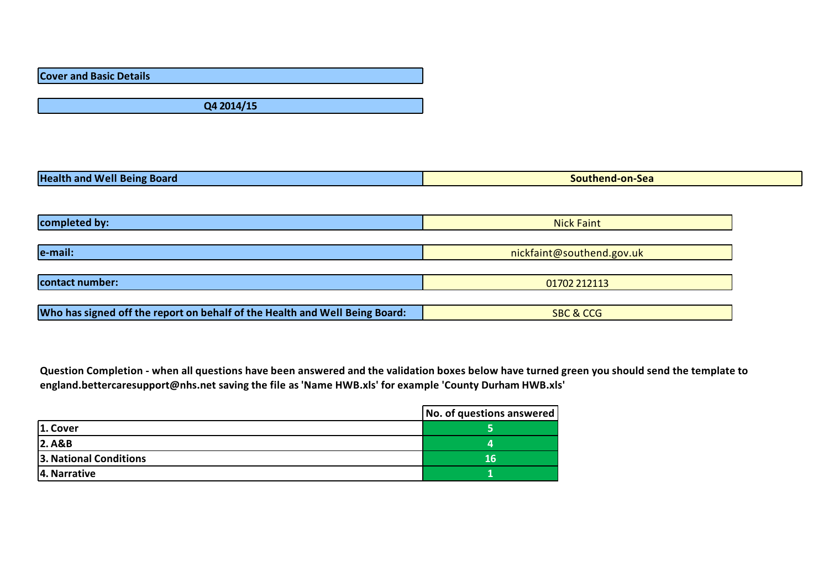**Cover and Basic Details**

**Q4 2014/15**

| <b>Health</b><br><b>Board</b><br>and<br><b>WPII</b><br>seins | <b>Sea</b><br>on.<br>. . |
|--------------------------------------------------------------|--------------------------|

| completed by:                                                               | <b>Nick Faint</b>         |  |
|-----------------------------------------------------------------------------|---------------------------|--|
|                                                                             |                           |  |
| e-mail:                                                                     | nickfaint@southend.gov.uk |  |
|                                                                             |                           |  |
| contact number:                                                             | 01702 212113              |  |
|                                                                             |                           |  |
| Who has signed off the report on behalf of the Health and Well Being Board: | <b>SBC &amp; CCG</b>      |  |

Question Completion - when all questions have been answered and the validation boxes below have turned green you should send the template to **england.bettercaresupport@nhs.net saving the file as 'Name HWB.xls' for example 'County Durham HWB.xls'**

|                        | $\vert$ No. of questions answered $\vert$ |
|------------------------|-------------------------------------------|
| $ 1.$ Cover            |                                           |
| 2. A&B                 |                                           |
| 3. National Conditions | 16                                        |
| 4. Narrative           |                                           |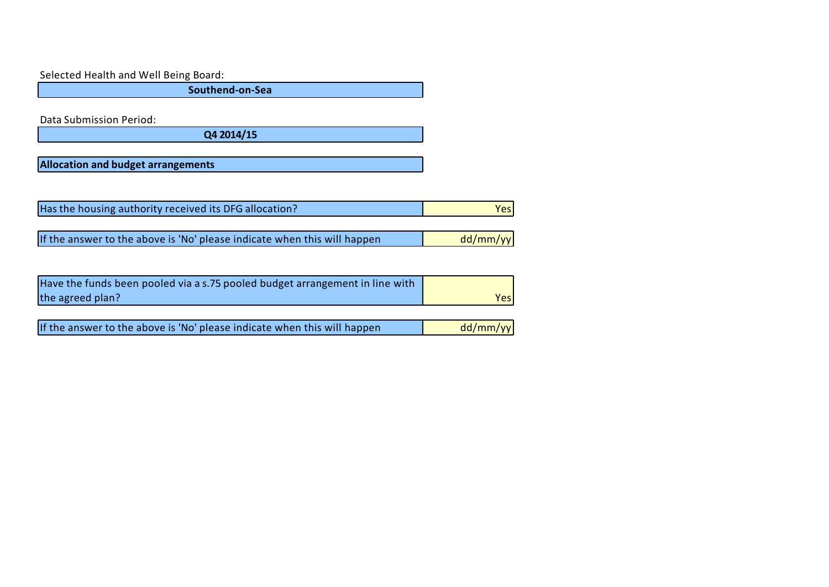Selected Health and Well Being Board:

**Southend-on-Sea**

Data Submission Period:

**Q4 2014/15**

**Allocation and budget arrangements**

| Has the housing authority received its DFG allocation? |  |
|--------------------------------------------------------|--|

If the answer to the above is 'No' please indicate when this will happen  $dd/mm/yy$ 

| Have the funds been pooled via a s.75 pooled budget arrangement in line with |      |
|------------------------------------------------------------------------------|------|
| the agreed plan?                                                             | Yesl |

| If the answer to the above is 'No' please indicate when this will happen | dd/mm/yy |
|--------------------------------------------------------------------------|----------|
|                                                                          |          |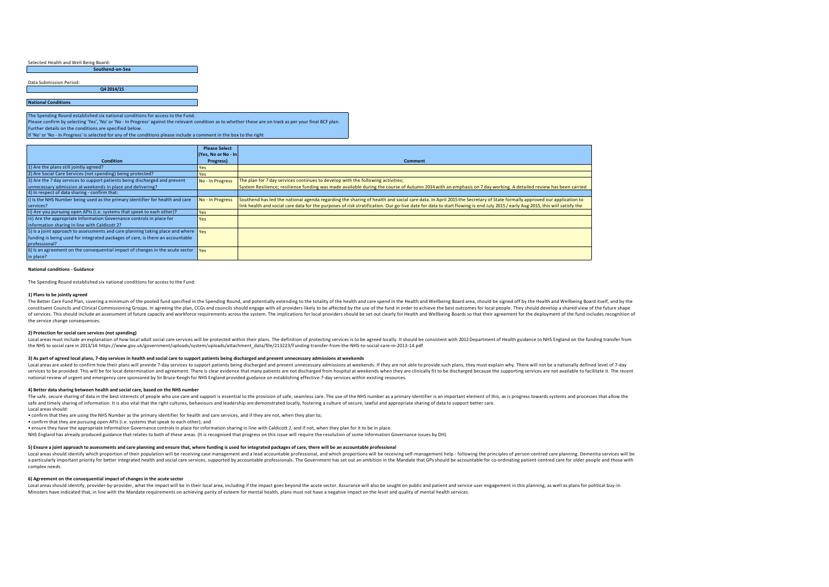|                            | Southend-on-Sea |  |
|----------------------------|-----------------|--|
|                            |                 |  |
| Data Submission Period:    |                 |  |
|                            | Q4 2014/15      |  |
|                            |                 |  |
| <b>National Conditions</b> |                 |  |
|                            |                 |  |

The Spending Round established six national conditions for access to the Fund. Please confirm by selecting 'Yes', 'No' or 'No - In Progress' against the relevant condition as to whether these are on track as per your final BCF plan. Further details on the conditions are specified below.

If 'No' or 'No - In Progress' is selected for any of the conditions please include a comment in the box to the right

|                                                                                                        | <b>Please Select</b> |                                                                                                                                                                               |
|--------------------------------------------------------------------------------------------------------|----------------------|-------------------------------------------------------------------------------------------------------------------------------------------------------------------------------|
|                                                                                                        | (Yes, No or No - In  |                                                                                                                                                                               |
| <b>Condition</b>                                                                                       | Progress)            | <b>Comment</b>                                                                                                                                                                |
| 1) Are the plans still jointly agreed?                                                                 | Yes                  |                                                                                                                                                                               |
| 2) Are Social Care Services (not spending) being protected?                                            | Yes                  |                                                                                                                                                                               |
| 3) Are the 7 day services to support patients being discharged and prevent                             | No - In Progress     | The plan for 7 day services continues to develop with the following activities;                                                                                               |
| unnecessary admission at weekends in place and delivering?                                             |                      | System Resilience; resilience funding was made available during the course of Autumn 2014 with an emphasis on 7 day working. A detailed review has been carried               |
| 4) In respect of data sharing - confirm that:                                                          |                      |                                                                                                                                                                               |
| i) Is the NHS Number being used as the primary identifier for health and care                          | No - In Progress     | Southend has led the national agenda regarding the sharing of health and social care data. In April 2015 the Secretary of State formally approved our application to          |
| services?                                                                                              |                      | link health and social care data for the purposes of risk stratification. Our go-live date for data to start flowing is end July 2015 / early Aug 2015, this will satisfy the |
| ii) Are you pursuing open APIs (i.e. systems that speak to each other)?                                | Yes                  |                                                                                                                                                                               |
| iii) Are the appropriate Information Governance controls in place for                                  | Yes                  |                                                                                                                                                                               |
| information sharing in line with Caldicott 2?                                                          |                      |                                                                                                                                                                               |
| 5) Is a joint approach to assessments and care planning taking place and where $\gamma$                |                      |                                                                                                                                                                               |
| funding is being used for integrated packages of care, is there an accountable                         |                      |                                                                                                                                                                               |
| professional?                                                                                          |                      |                                                                                                                                                                               |
| 6) Is an agreement on the consequential impact of changes in the acute sector $\mathbf{v}_{\text{eq}}$ |                      |                                                                                                                                                                               |
| in place?                                                                                              |                      |                                                                                                                                                                               |

#### **National conditions - Guidance**

The Spending Round established six national conditions for access to the Fund:

#### **1) Plans to be jointly agreed**

The Better Care Fund Plan, covering a minimum of the pooled fund specified in the Spending Round, and potentially extending to the totality of the health and care spend in the Health and Wellbeing Board area, should be sig constituent Councils and Clinical Commissioning Groups. In agreeing the plan, CCGs and councils should engage with all providers likely to be affected by the use of the fund in order to achieve the best outcomes for local of services. This should include an assessment of future capacity and workforce requirements across the system. The implications for local providers should be set out clearly for Health and Wellbeing Boards so that their a the service change consequences.

#### **2) Protection for social care services (not spending)**

Local areas must include an explanation of how local adult social care services will be protected within their plans. The definition of protecting services is to be agreed locally. It should be consistent with 2012 Departm the NHS to social care in 2013/14: https://www.gov.uk/government/uploads/system/uploads/attachment\_data/file/213223/Funding-transfer-from-the-NHS-to-social-care-in-2013-14.pdf

#### 3) As part of agreed local plans, 7-day services in health and social care to support patients being discharged and prevent unnecessary admissions at weekends

Local areas are asked to confirm how their plans will provide 7-day services to support patients being discharged and prevent unnecessary admissions at weekends. If they are not able to provide such plans, they must explai services to be provided. This will be for local determination and agreement. There is clear evidence that many patients are not discharged from hospital at weekends when they are clinically fit to be discharged because the national review of urgent and emergency care sponsored by Sir Bruce Keogh for NHS England provided guidance on establishing effective 7-day services within existing resources.

#### **4) Better data sharing between health and social care, based on the NHS number**

The safe, secure sharing of data in the best interests of people who use care and support is essential to the provision of safe, seamless care. The use of the NHS number as a primary identifier is an important element of t safe and timely sharing of information. It is also vital that the right cultures, behaviours and leadership are demonstrated locally, fostering a culture of secure, lawful and appropriate sharing of data to support better

Local areas should: • confirm that they are using the NHS Number as the primary identifier for health and care services, and if they are not, when they plan to;

• confirm that they are pursuing open APIs (i.e. systems that speak to each other); and

• ensure they have the appropriate Information Governance controls in place for information sharing in line with Caldicott 2, and if not, when they plan for it to be in place.

NHS England has already produced guidance that relates to both of these areas. (It is recognised that progress on this issue will require the resolution of some Information Governance issues by DH).

#### 5) Ensure a joint approach to assessments and care planning and ensure that, where funding is used for integrated packages of care, there will be an accountable professional

Local areas should identify which proportion of their population will be receiving case management and a lead accountable professional, and which proportions will be receiving self-management help - following the principle a particularly important priority for better integrated bealth and social care services, supported by accountable professionals. The Government has set out an ambition in the Mandate that GPs should be accountable for co-o complex needs.

#### **6) Agreement on the consequential impact of changes in the acute sector**

Local areas should identify, provider-by-provider, what the impact will be in their local area, including if the impact goes beyond the acute sector. Assurance will also be sought on public and patient and service user eng Ministers have indicated that, in line with the Mandate requirements on achieving parity of esteem for mental health, plans must not have a negative impact on the level and quality of mental health services.